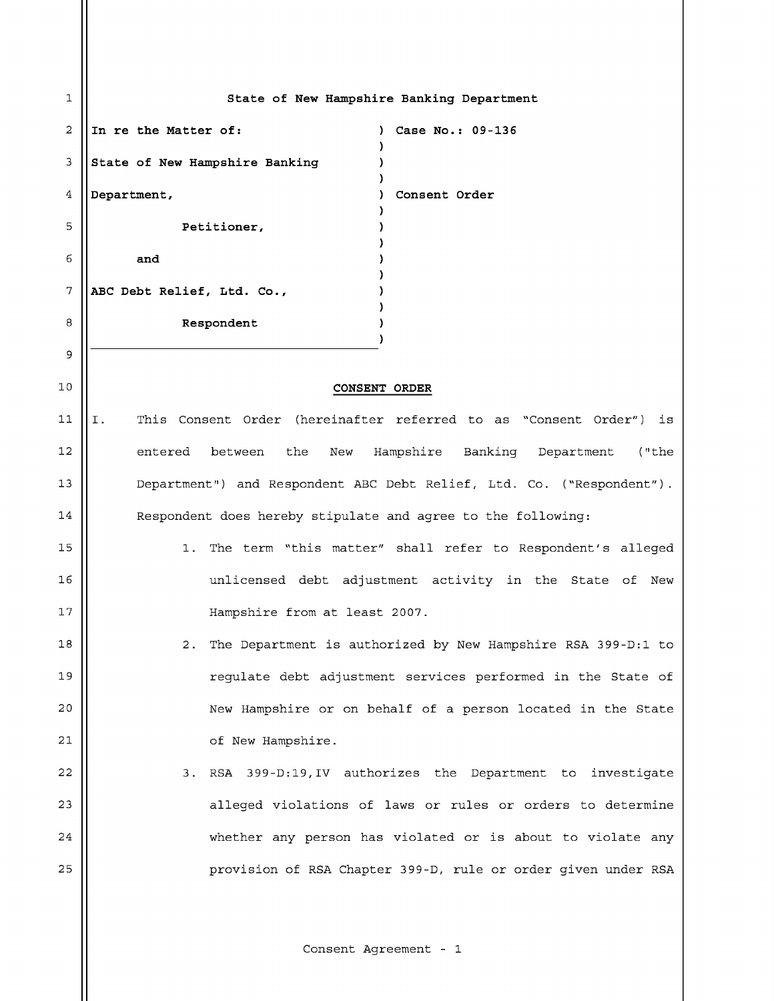| 1  | State of New Hampshire Banking Department                                 |
|----|---------------------------------------------------------------------------|
| 2  | In re the Matter of:<br>Case No.: 09-136                                  |
| 3  | State of New Hampshire Banking                                            |
| 4  | Department,<br>Consent Order                                              |
| 5  | Petitioner,                                                               |
| 6  | and                                                                       |
| 7  | ABC Debt Relief, Ltd. Co.,                                                |
| 8  | Respondent                                                                |
| 9  |                                                                           |
| 10 | <b>CONSENT ORDER</b>                                                      |
| 11 | This Consent Order (hereinafter referred to as "Consent Order") is<br>Ι.  |
| 12 | the<br>Hampshire Banking Department<br>between<br>New<br>("the<br>entered |
| 13 | Department") and Respondent ABC Debt Relief, Ltd. Co. ("Respondent").     |
| 14 | Respondent does hereby stipulate and agree to the following:              |
| 15 | The term "this matter" shall refer to Respondent's alleged<br>1.          |
| 16 | unlicensed debt adjustment activity in the State of New                   |
| 17 |                                                                           |
|    | Hampshire from at least 2007.                                             |
| 18 | The Department is authorized by New Hampshire RSA 399-D:1 to<br>$2$ .     |
| 19 | regulate debt adjustment services performed in the State of               |
| 20 | New Hampshire or on behalf of a person located in the State               |
| 21 | of New Hampshire.                                                         |
| 22 | 3. RSA 399-D:19, IV authorizes the Department to investigate              |
| 23 | alleged violations of laws or rules or orders to determine                |
| 24 | whether any person has violated or is about to violate any                |
| 25 | provision of RSA Chapter 399-D, rule or order given under RSA             |
|    |                                                                           |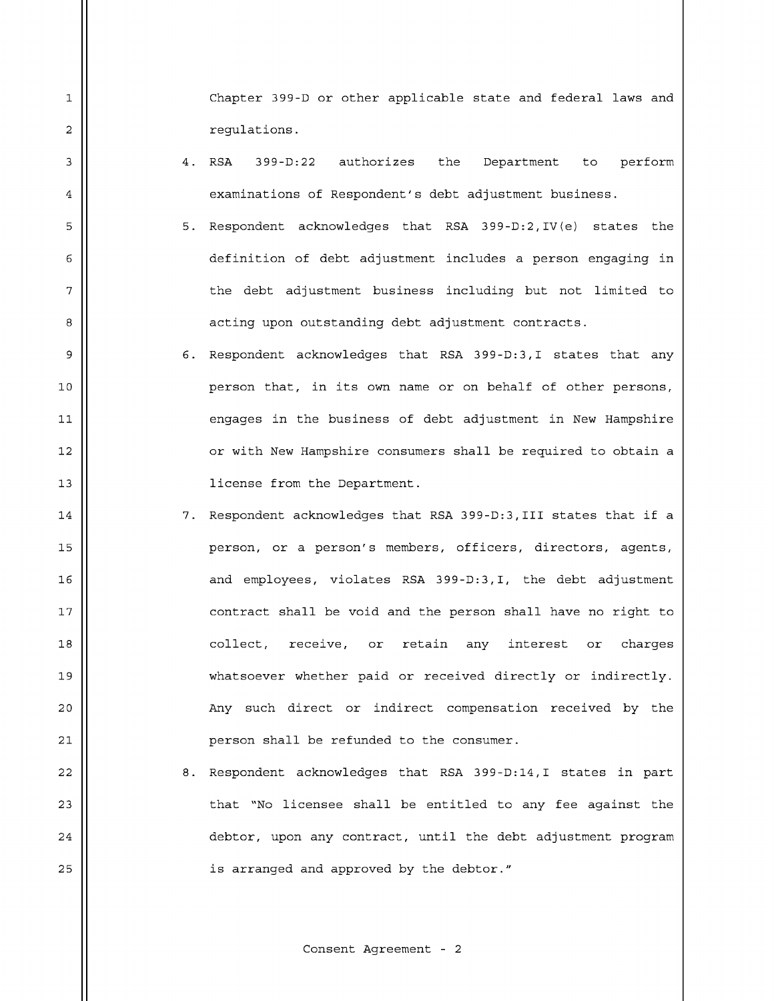Chapter 399-D or other applicable state and federal laws and regulations.

4. RSA 399-D:22 authorizes the Department to perform examinations of Respondent's debt adjustment business.

 $\mathbf{1}$ 

 $\overline{a}$ 

 $\mathsf 3$ 

 $\bf 4$ 

5

6

 $\overline{7}$ 

8

9

- 5. Respondent acknowledges that RSA 399-D:2, IV (e) states the definition of debt adjustment includes a person engaging in the debt adjustment business including but not limited to acting upon outstanding debt adjustment contracts.
- 6. Respondent acknowledges that RSA 399-D:3, I states that any 10 || person that, in its own name or on behalf of other persons, engages in the business of debt adjustment in New Hampshire 12 || or with New Hampshire consumers shall be required to obtain a 13 || license from the Department.
- 14  $\vert$  7. Respondent acknowledges that RSA 399-D:3, III states that if a 15 || person, or a person's members, officers, directors, agents, 16 || and employees, violates RSA 399-D:3, I, the debt adjustment 17 || contract shall be void and the person shall have no right to 18 c ollect, re c e i ve , or reta i n any inter e s t o r cha rg e s 19 || whatsoever whether paid or received directly or indirectly. 20 || Any such direct or indirect compensation received by the 21 person shall be refunded to the consumer.
- $22$   $\vert$  8. Respondent acknowledges that RSA 399-D:14,I states in part 23  $\parallel$  that "No licensee shall be entitled to any fee against the 24 | debtor, upon any contract, until the debt adjustment program 25 || is arranged and approved by the debtor."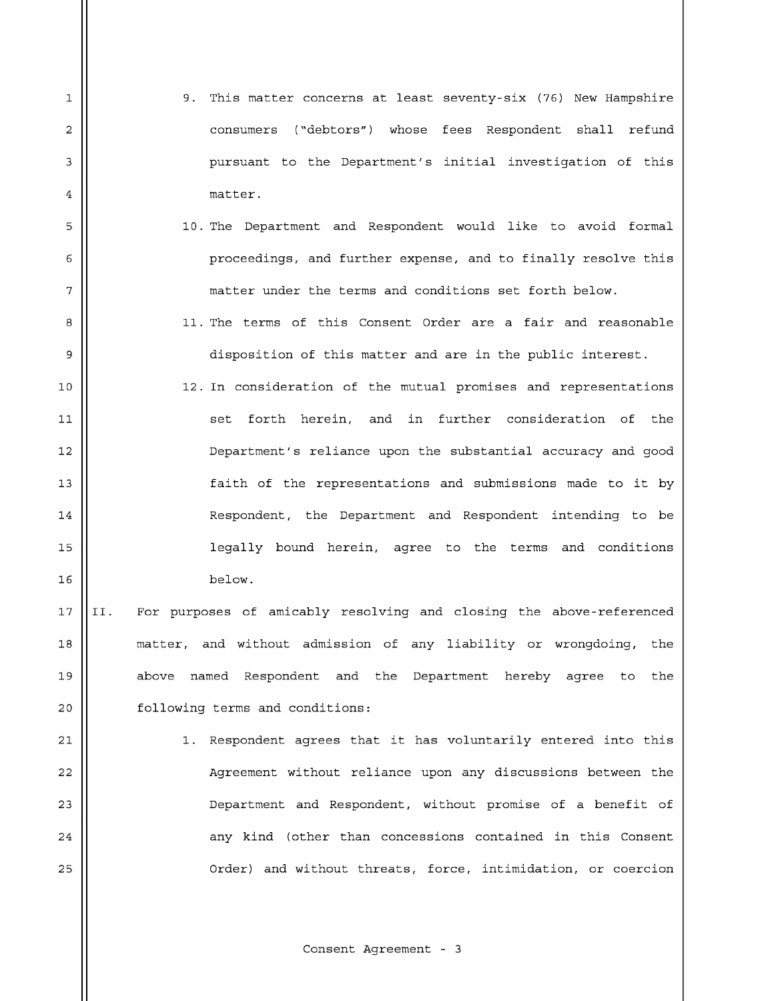9. This matter concerns at least seventy-six (76) New Hampshire consumers ("debtors") whose fees Respondent shall refund pursuant to the Department's initial investigation of this matter.

 $\mathbf{1}$ 

 $\overline{a}$ 

 $\mathsf 3$ 

 $\bf 4$ 

5

6

 $\overline{7}$ 

8

9

- 10. The Department and Respondent would like to avoid formal proceedings, and further expense, and to finally resolve this matter under the terms and conditions set forth below.
	- 11. The terms of this Consent Order are a fair and reasonable disposition of this matter and are in the public interest.
- 10 || 12. In consideration of the mutual promises and representations set forth herein, and in further consideration of the 12 Department's reliance upon the substantial accuracy and good 13 || faith of the representations and submissions made to it by 14 | Respondent, the Department and Respondent intending to be 15 || legally bound herein, agree to the terms and conditions 16 below.
- 17 ||II. For purposes of amicably resolving and closing the above-referenced 18 || matter, and without admission of any liability or wrongdoing, the 19 || above named Respondent and the Department hereby agree to the 20 | following terms and conditions:
- 21  $\parallel$  1. Respondent agrees that it has voluntarily entered into this 22 | Agreement without reliance upon any discussions between the 23 D epartment and R e spondent, without promise o f a b e n e fit o f 24 any kind (other than c o ncessions contained in t h i s C o n sent 25 | Crder) and without threats, force, intimidation, or coercion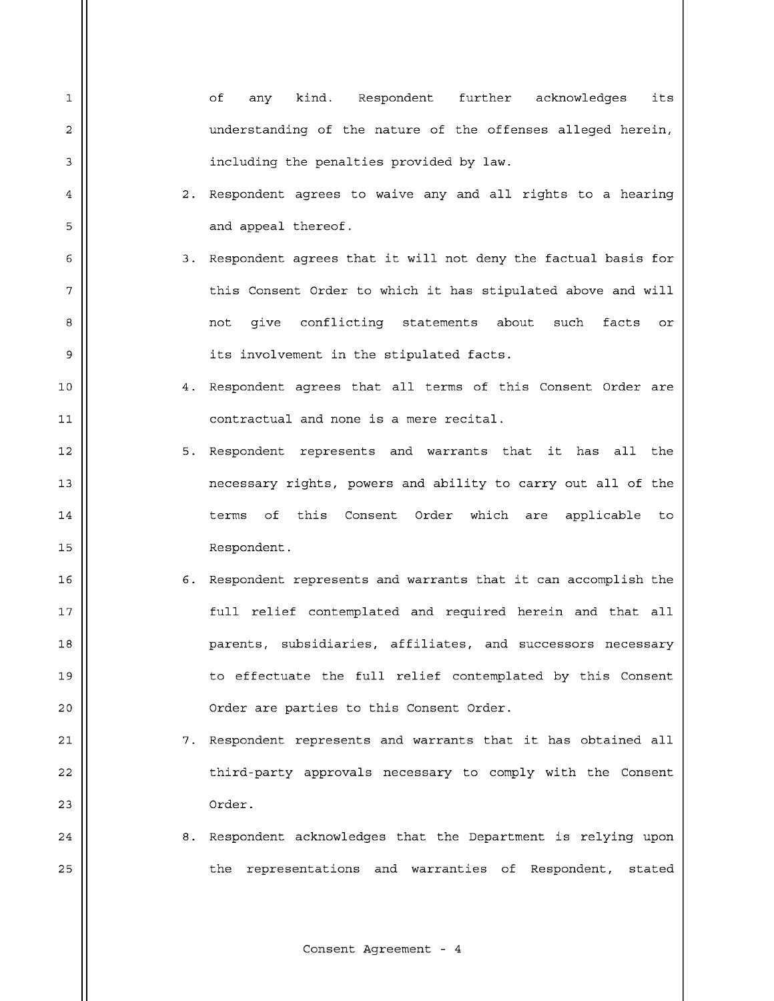| 1  | оf<br>kind. Respondent further acknowledges<br>its<br>any        |
|----|------------------------------------------------------------------|
| 2  | understanding of the nature of the offenses alleged herein,      |
| 3  | including the penalties provided by law.                         |
| 4  | 2. Respondent agrees to waive any and all rights to a hearing    |
| 5  | and appeal thereof.                                              |
| 6  | 3. Respondent agrees that it will not deny the factual basis for |
| 7  | this Consent Order to which it has stipulated above and will     |
| 8  | give conflicting statements about<br>such<br>facts<br>not<br>or  |
| 9  | its involvement in the stipulated facts.                         |
| 10 | 4. Respondent agrees that all terms of this Consent Order are    |
| 11 | contractual and none is a mere recital.                          |
| 12 | 5. Respondent represents and warrants that it has all the        |
| 13 | necessary rights, powers and ability to carry out all of the     |
| 14 | of this Consent Order which are applicable to<br>terms           |
| 15 | Respondent.                                                      |
| 16 | 6. Respondent represents and warrants that it can accomplish the |
| 17 | full relief contemplated and required herein and that all        |
| 18 | parents, subsidiaries, affiliates, and successors necessary      |
| 19 | to effectuate the full relief contemplated by this Consent       |
| 20 | Order are parties to this Consent Order.                         |
| 21 | 7. Respondent represents and warrants that it has obtained all   |
| 22 | third-party approvals necessary to comply with the Consent       |
| 23 | Order.                                                           |
| 24 | 8. Respondent acknowledges that the Department is relying upon   |
| 25 | representations and warranties of Respondent, stated<br>the      |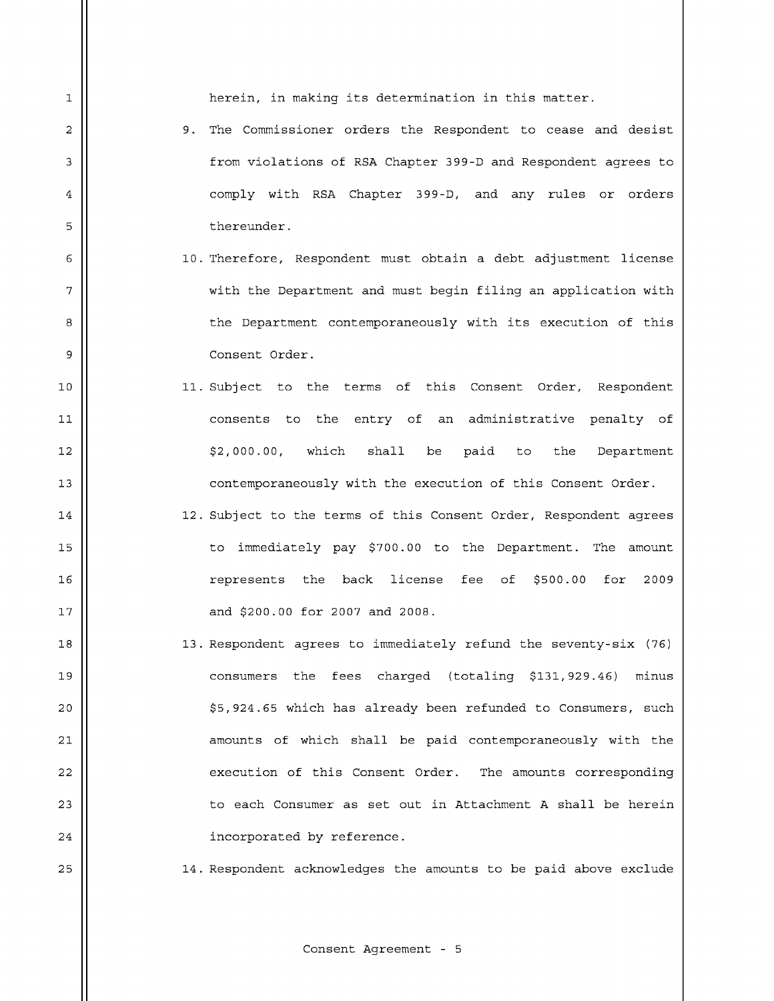herein, in making its determination in this matter.

 $\mathbf{1}$ 

 $\overline{a}$ 

 $\mathsf 3$ 

 $\bf 4$ 

5

6

 $\overline{7}$ 

8

9

 $11$ 

- 9. The Commissioner orders the Respondent to cease and desist from violations of RSA Chapter 399-D and Respondent agrees to comply with RSA Chapter 399-D, and any rules or orders thereunder.
- 10. Therefore, Respondent must obtain a debt adjustment license with the Department and must begin filing an application with the Department contemporaneously with its execution of this Consent Order.
- 10 || 11. Subject to the terms of this Consent Order, Respondent consents to the entry of an administrative penalty of  $12$   $\parallel$   $\frac{1}{2}$ ,000.00, which shall be paid to the Department 13 || contemporaneously with the execution of this Consent Order.
- 14 || 12. Subject to the terms of this Consent Order, Respondent agrees 15 || to immediately pay \$700.00 to the Department. The amount 16 represents t h e back lice n s e fee o f \$500.0 0 f o r 2 009 17 || and \$200.00 for 2007 and 2008.
- 18 || 13. Respondent agrees to immediately refund the seventy-six (76) 19 || consumers the fees charged (totaling \$131,929.46) minus 20 || \$5,924.65 which has already been refunded to Consumers, such 21 || amounts of which shall be paid contemporaneously with the 22 | execution of this Consent Order. The amounts corresponding 23  $\parallel$  to each Consumer as set out in Attachment A shall be herein  $24$  || incorporated by reference.

25 14. Respondent acknowledges the amounts to be paid above exclude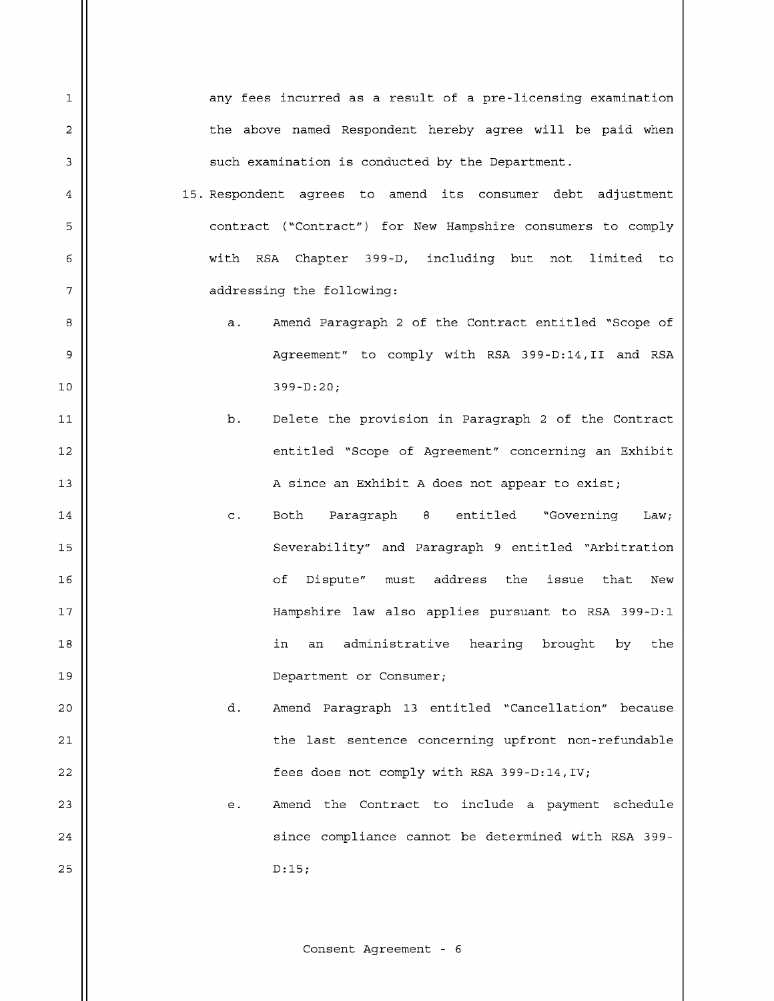any fees incurred as a result of a pre-licensing examination the above named Respondent hereby agree will be paid when such examination is conducted by the Department. 15. Respondent agrees to amend its consumer debt adjustment contract ("Contract") for New Hampshire consumers to comply with RSA Chapter 399-D, including but not limited to addressing the following: a. Amend Paragraph 2 of the Contract entitled "Scope of Agreement" to comply with RSA 399-D:14, II and RSA  $10$  ||  $399-D:20$ ; b. Delete the provision in Paragraph 2 of the Contract 12 || entitled "Scope of Agreement" concerning an Exhibit 13 || A since an Exhibit A does not appear to exist; 14 || c. Both Paragraph 8 entitled "Governing Law; 15 Severability" and P a ragraph 9 e n t itled "Arbitration 16 o f Di spu t e" mu st add r es s t he i s sue t h at New 17 || Hampshire law also applies pursuant to RSA 399-D:1 18 || in an administrative hearing brought by the 19 || Department or Consumer; 20 || d. Amend Paragraph 13 entitled "Cancellation" because 21 the last sentence concerning upfront non-refundable  $22$  ||  $\qquad \qquad$  fees does not comply with RSA 399-D:14, IV; 23 || e. Amend the Contract to include a payment schedule 24 || since compliance cannot be determined with RSA 399- $25 \parallel$  D:15;

 $\mathbf{1}$ 

 $\overline{a}$ 

3

 $\bf 4$ 

5

6

 $\overline{7}$ 

8

9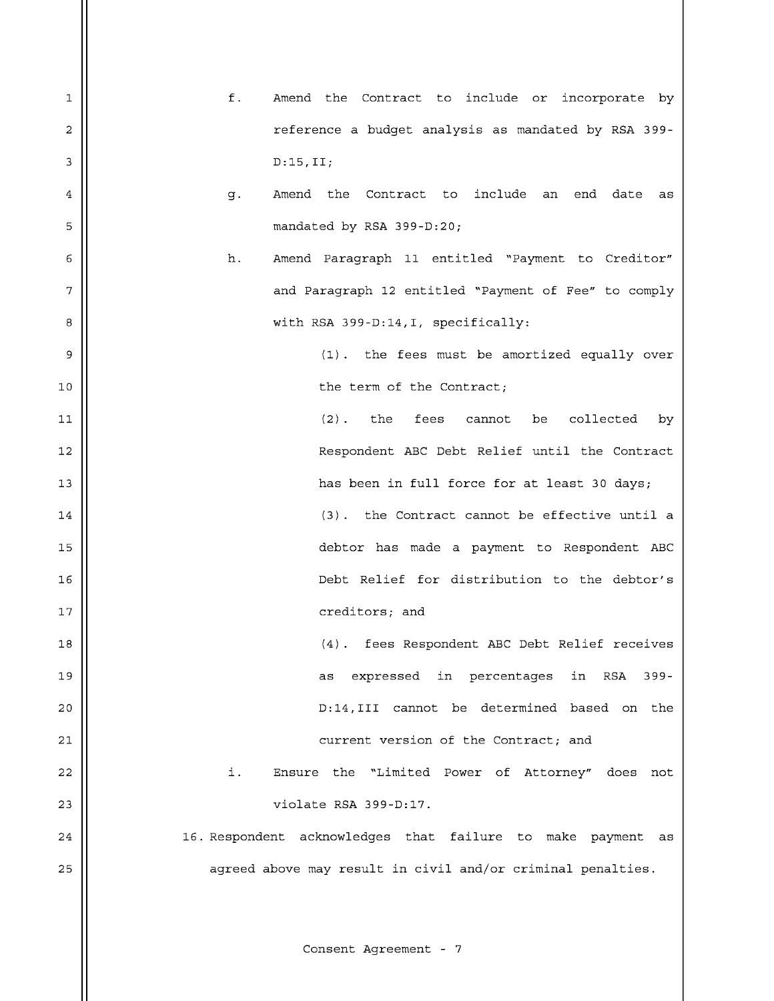f. Amend the Contract to include or incorporate by  $\mathbf{1}$ reference a budget analysis as mandated by RSA 399- $\overline{a}$ 3  $D:15, II;$ g. Amend the Contract to include an end date as  $\bf 4$ 5 mandated by RSA 399-D:20; Amend Paragraph 11 entitled "Payment to Creditor" 6 h.  $\overline{7}$ and Paragraph 12 entitled "Payment of Fee" to comply with RSA 399-D:14, I, specifically: 8 9  $(1)$ . the fees must be amortized equally over 10 || **the term of the Contract**;  $(2)$ . the fees cannot be collected by  $11$ 12 || Respondent ABC Debt Relief until the Contract 13 has been i n f u l l f or c e f or at l ea st 3 0 day s ;  $\begin{array}{c|c|c|c|c|c} \hline 14 & \multicolumn{1}{c|}{\quad} & \multicolumn{1}{c|}{\quad} & \multicolumn{1}{c|}{\quad} & \multicolumn{1}{c|}{\quad} & \multicolumn{1}{c|}{\quad} & \multicolumn{1}{c|}{\quad} & \multicolumn{1}{c|}{\quad} & \multicolumn{1}{c|}{\quad} & \multicolumn{1}{c|}{\quad} & \multicolumn{1}{c|}{\quad} & \multicolumn{1}{c|}{\quad} & \multicolumn{1}{c|}{\quad} & \multicolumn{1}{c|}{\quad} & \multicolumn{1}{c|}{\quad} &$ 15 d ebtor ha s m a d e a p a y m en t t o R e s p ondent A B C 16 Debt R el i e f f or di s t r i bu t i on t o t h e debt or ' s 17 || creditors; and 18 || (4). fees Respondent ABC Debt Relief receives 19 a s ex pr e s s e d i n per c ent ag es i n RSA 3 99 20 D :14,III c a n no t b e det e r m ined b a s e d o n the 21 **current version of the Contract; and** 22 || i. Ensure the "Limited Power of Attorney" does not 23 || violate RSA 399-D:17.  $24$  ||  $\hspace{1cm}$  16. Respondent acknowledges that failure to make payment as 25 || agreed above may result in civil and/or criminal penalties.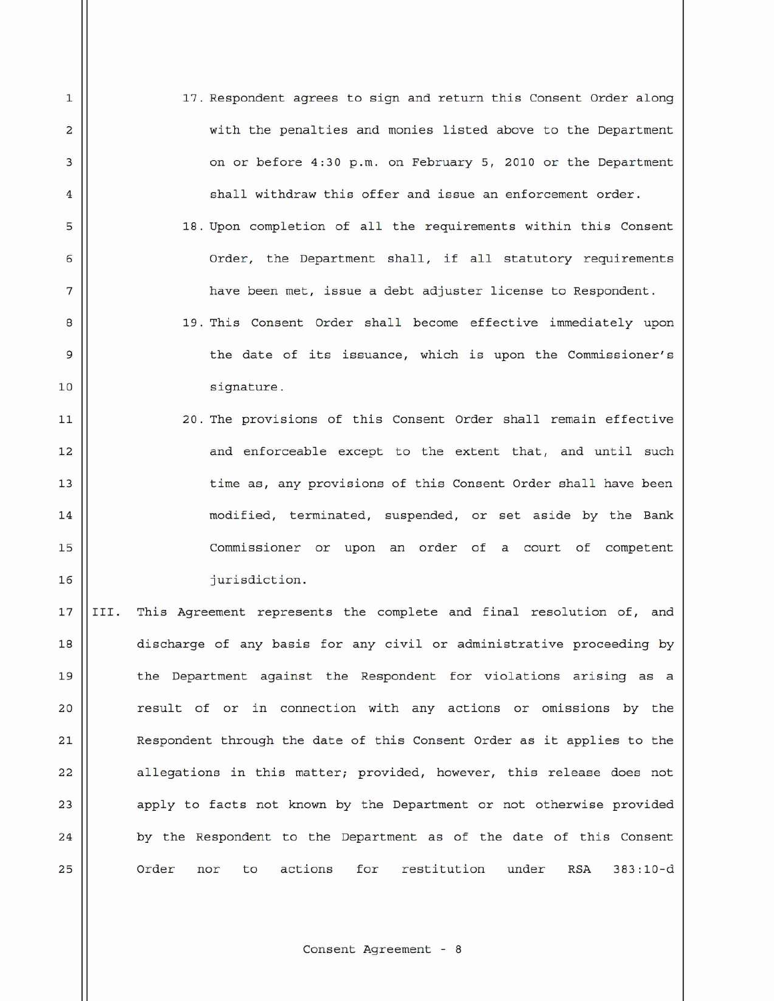17. Respondent agrees to sign and return this Consent Order along with the penalties and monies listed above to the Department on or before 4:30 p.m. on February 5, 2010 or the Department shall withdraw this offer and issue an enforcement order.

 $\mathbf{1}$ 

 $\overline{2}$ 

3

 $\sqrt{4}$ 

5

6

7

8

9

 $11$ 

18. Upon completion of all the requirements within this Consent Order, the Department shall, if all statutory requirements have been met, issue a debt adjuster license to Respondent.

19. This Consent Order shall become effective immediately upon the date of its issuance, which is upon the Commissioner's 10 || signature.

20. The provisions of this Consent Order shall remain effective 12 || and enforceable except to the extent that, and until such 13 time as, any provisions of this Consent Order shall have been 14 || modified, terminated, suspended, or set aside by the Bank 15 || Commissioner or upon an order of a court of competent 16 || iurisdiction.

17 ||III. This Agreement represents the complete and final resolution of, and 18 || discharge of any basis for any civil or administrative proceeding by 19 || the Department against the Respondent for violations arising as a 20 || result of or in connection with any actions or omissions by the 21 Respondent through the date of this Consent Order as it applies to the  $22$  allegations in this matter; provided, however, this release does not 23 || apply to facts not known by the Department or not otherwise provided  $24$  | by the Respondent to the Department as of the date of this Consent 25 | Order nor to actions for restitution under RSA 383:10-d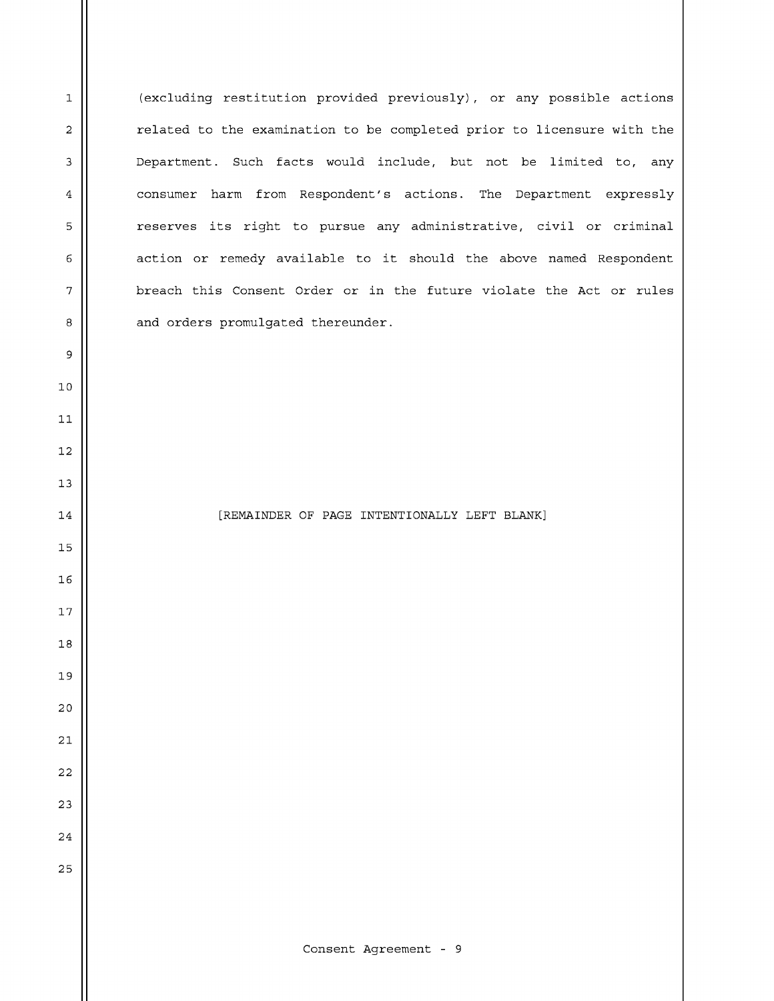(excluding restitution provided previously), or any possible actions related to the examination to be completed prior to licensure with the Department. Such facts would include, but not be limited to, any consumer harm from Respondent's actions. The Department expressly reserves its right to pursue any administrative, civil or criminal action or remedy available to it should the above named Respondent breach this Consent Order or in the future violate the Act or rules and orders promulgated thereunder.

14 || [REMAINDER OF PAGE INTENTIONALLY LEFT BLANK]

10

 $11$ 

 $\mathbf 1$ 

 $\overline{\mathbf{c}}$ 

3

 $\overline{\mathbf{4}}$ 

5

 $\epsilon$ 

7

 $\bf 8$ 

9

12

13

15

16

17

18

19

20

21

22

23

24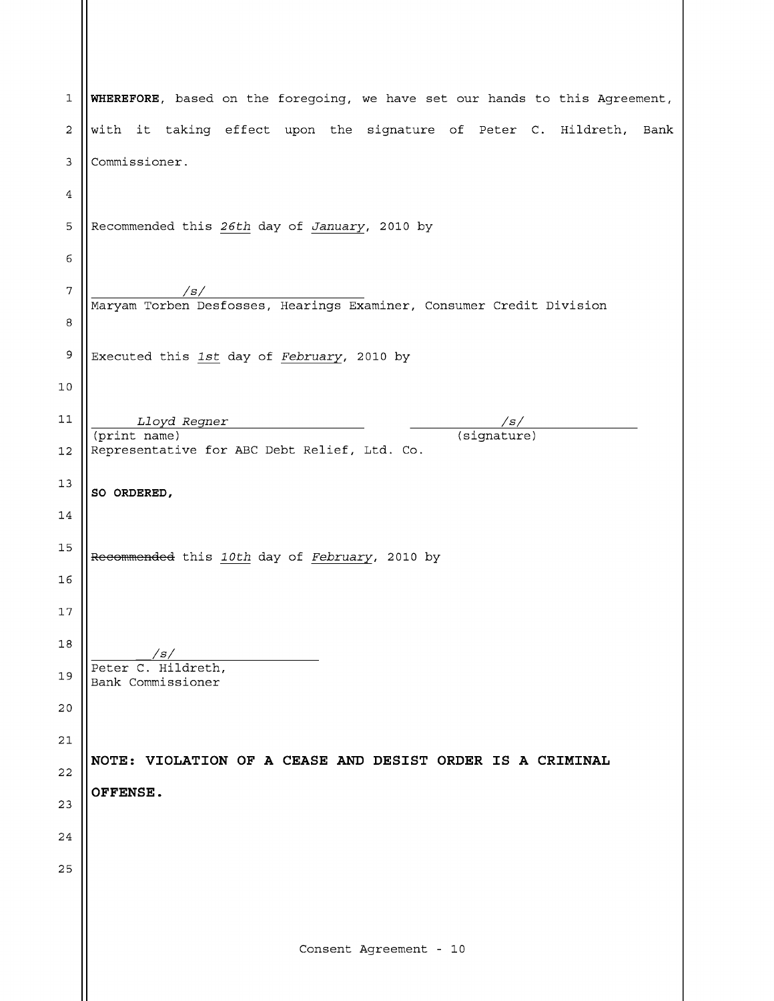| 1              | WHEREFORE, based on the foregoing, we have set our hands to this Agreement, |
|----------------|-----------------------------------------------------------------------------|
| 2              | with it taking effect upon the signature of Peter C. Hildreth, Bank         |
| 3              | Commissioner.                                                               |
| 4              |                                                                             |
| 5              | Recommended this 26th day of January, 2010 by                               |
| 6              |                                                                             |
| $\overline{7}$ | /s/<br>Maryam Torben Desfosses, Hearings Examiner, Consumer Credit Division |
| 8              |                                                                             |
| 9              | Executed this 1st day of February, 2010 by                                  |
| 10             |                                                                             |
| 11             | Lloyd Regner<br>/s/<br>(signature)<br>(print name)                          |
| 12             | Representative for ABC Debt Relief, Ltd. Co.                                |
| 13             | SO ORDERED,                                                                 |
| 14             |                                                                             |
| 15             | Recommended this 10th day of February, 2010 by                              |
| 16             |                                                                             |
| 17             |                                                                             |
| 18             | /s/                                                                         |
| 19             | Peter C. Hildreth,<br>Bank Commissioner                                     |
| 20             |                                                                             |
| 21             | NOTE: VIOLATION OF A CEASE AND DESIST ORDER IS A CRIMINAL                   |
| 22             | OFFENSE.                                                                    |
| 23             |                                                                             |
| 24             |                                                                             |
| 25             |                                                                             |
|                |                                                                             |
|                | Consent Agreement - 10                                                      |
|                |                                                                             |

 $\parallel$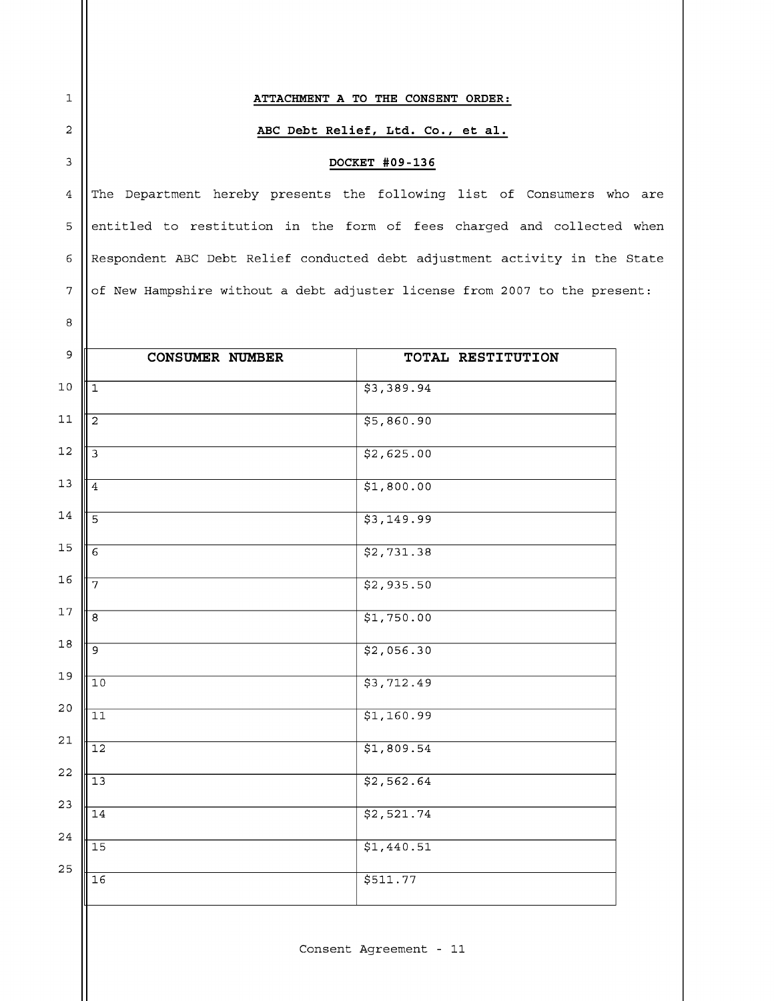## ATTACHMENT A TO THE CONSENT ORDER:

 $\mathbf 1$ 

 $\sqrt{2}$ 

 $\overline{3}$ 

 $\bf 8$ 

## ABC Debt Relief, Ltd. Co., et al.

## DOCKET #09-136

The Department hereby presents the following list of Consumers who are  $\overline{4}$ entitled to restitution in the form of fees charged and collected when 5  $\epsilon$  $\vert$  Respondent ABC Debt Relief conducted debt adjustment activity in the State  $\overline{7}$ of New Hampshire without a debt adjuster license from 2007 to the present:

| 9           | <b>CONSUMER NUMBER</b> | TOTAL RESTITUTION |
|-------------|------------------------|-------------------|
| $10$        | $\overline{1}$         | \$3,389.94        |
| $11\,$      | $\overline{2}$         | 55,860.90         |
| $12\,$      |                        | \$2,625.00        |
| $13$        | $\overline{4}$         | \$1,800.00        |
| $14\,$      | $\overline{5}$         | \$3,149.99        |
| $15\,$      | $\overline{6}$         | \$2,731.38        |
| 16          | 7                      | \$2,935.50        |
| $17\,$      | 8                      | \$1,750.00        |
| $1\,8$      | و                      | \$2,056.30        |
| $19$        | $\overline{10}$        | 53,712.49         |
| $20\,$      | $\overline{11}$        | \$1,160.99        |
| $2\,1$      | $\overline{12}$        | \$1,809.54        |
| $2\sqrt{2}$ | $\overline{13}$        | \$2,562.64        |
| 23          | $\overline{14}$        | \$2,521.74        |
| $2\sqrt{4}$ | $\overline{15}$        | \$1,440.51        |
| 25          | $\overline{16}$        | \$511.77          |
|             |                        |                   |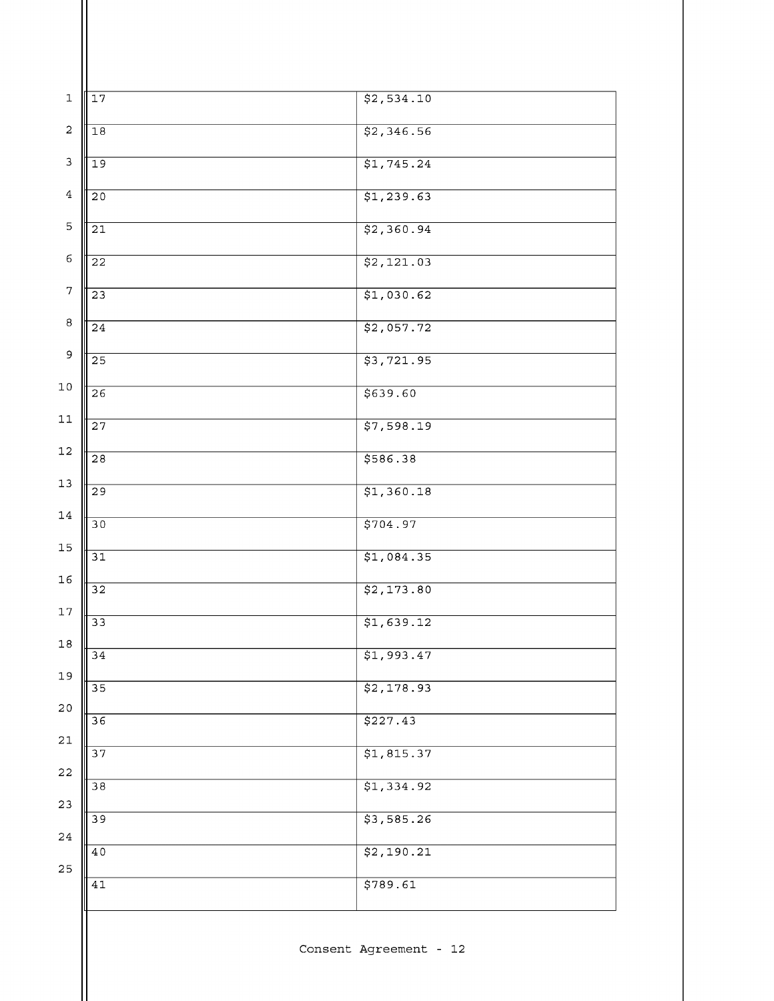| $\mathbf 1$             | 17              | \$2,534.10 |
|-------------------------|-----------------|------------|
| $\overline{\mathbf{c}}$ | $\overline{18}$ | \$2,346.56 |
| 3                       | $\overline{19}$ | \$1,745.24 |
| $\bf 4$                 | $\overline{20}$ | 51, 239.63 |
| 5                       | $\overline{21}$ | \$2,360.94 |
| 6                       | $\overline{22}$ | \$2,121.03 |
| $\overline{7}$          | $\overline{23}$ | \$1,030.62 |
| $\bf 8$                 | $\overline{24}$ | \$2,057.72 |
| 9                       |                 |            |
| $10\,$                  | $\overline{25}$ | \$3,721.95 |
| $11\,$                  | $\overline{26}$ | 5639.60    |
|                         | $\overline{27}$ | \$7,598.19 |
| $12\,$                  | $\overline{28}$ | \$586.38   |
| $13\,$                  | $\overline{29}$ | \$1,360.18 |
| 14                      | 30              | \$704.97   |
| 15                      | 31              | \$1,084.35 |
| 16                      | $\overline{32}$ | \$2,173.80 |
| $17\,$                  | $\overline{33}$ | \$1,639.12 |
| $1\,8$                  | $\overline{34}$ | \$1,993.47 |
| 19                      | 35              | \$2,178.93 |
| $20$                    | $\overline{36}$ | \$227.43   |
| $2\sqrt{1}$             | 37              | \$1,815.37 |
| 22                      | $\overline{38}$ | \$1,334.92 |
| 23                      | $\overline{39}$ | \$3,585.26 |
| $2\sqrt{4}$             | $4\,0$          | \$2,190.21 |
| 25                      |                 |            |
|                         | $4\,1$          | \$789.61   |
|                         |                 |            |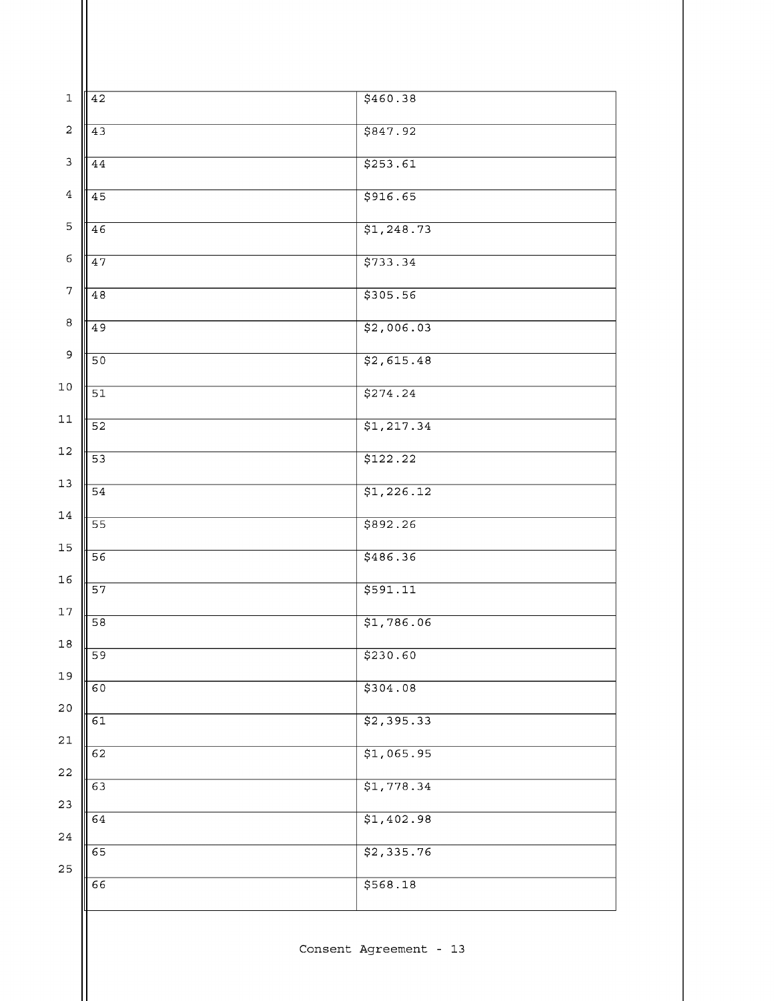|        | 42              | \$460.38   |
|--------|-----------------|------------|
|        | 43              | \$847.92   |
|        | 44              | 5253.61    |
|        | $\overline{45}$ | 5916.65    |
|        | 46              | \$1,248.73 |
|        | 47              | \$733.34   |
|        | 48              | \$305.56   |
|        | 49              | \$2,006.03 |
|        |                 |            |
|        | $\overline{50}$ | \$2,615.48 |
|        | $\overline{51}$ | \$274.24   |
|        | $\overline{52}$ | \$1,217.34 |
|        | $\overline{53}$ | \$122.22   |
|        | 54              | \$1,226.12 |
|        | 55              | \$892.26   |
|        | 56              | \$486.36   |
|        | $\overline{57}$ | \$591.11   |
|        | $\overline{58}$ | \$1,786.06 |
| Ⅲ<br>I | 59              | \$230.60   |
|        | 60              | \$304.08   |
|        | 61              | \$2,395.33 |
|        | 62              | \$1,065.95 |
|        |                 |            |
|        | 63              | \$1,778.34 |
|        | 64              | \$1,402.98 |
|        | 65              | \$2,335.76 |
|        | 66              | \$568.18   |